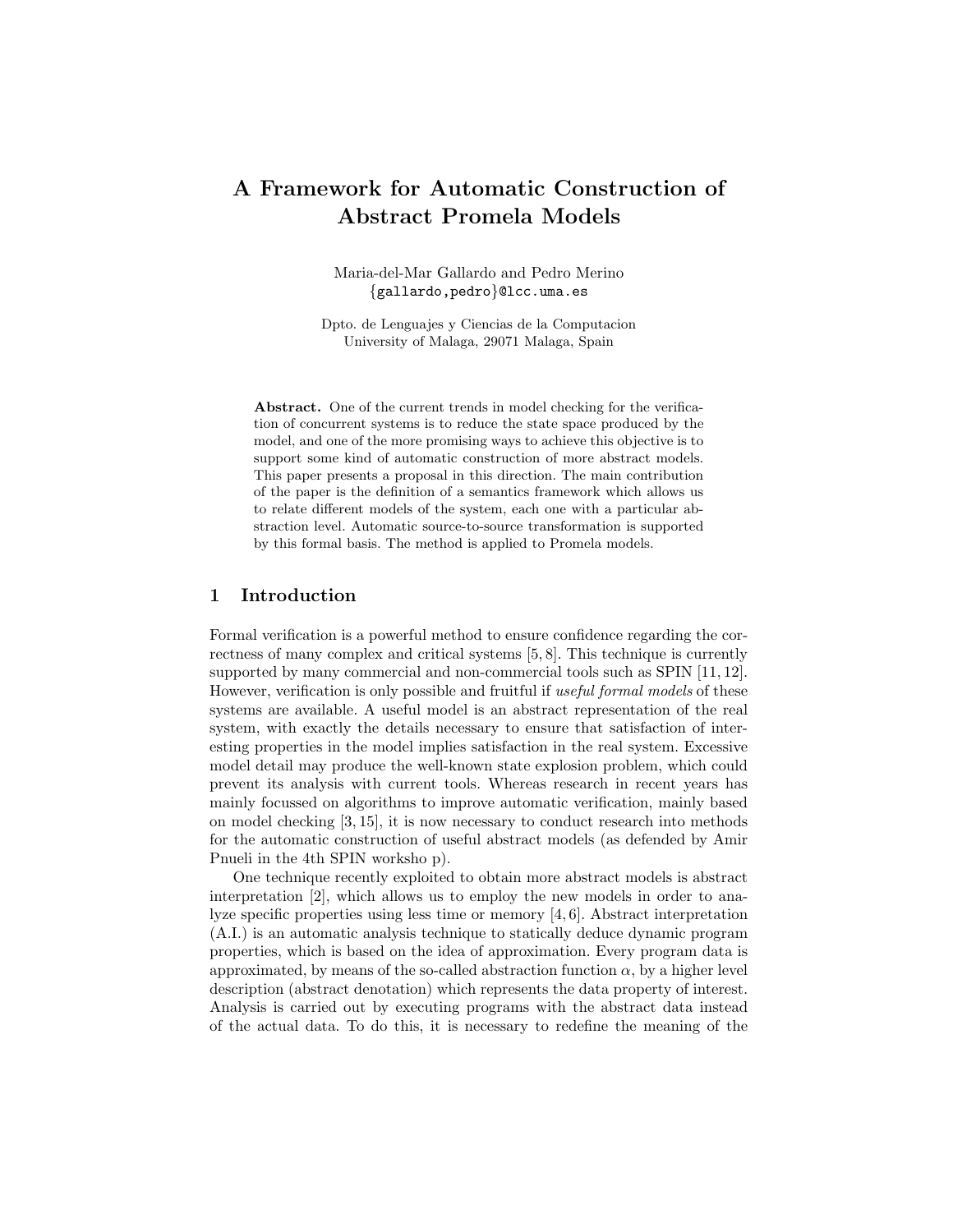# **A Framework for Automatic Construction of Abstract Promela Models**

Maria-del-Mar Gallardo and Pedro Merino {gallardo,pedro}@lcc.uma.es

Dpto. de Lenguajes y Ciencias de la Computacion University of Malaga, 29071 Malaga, Spain

**Abstract.** One of the current trends in model checking for the verification of concurrent systems is to reduce the state space produced by the model, and one of the more promising ways to achieve this objective is to support some kind of automatic construction of more abstract models. This paper presents a proposal in this direction. The main contribution of the paper is the definition of a semantics framework which allows us to relate different models of the system, each one with a particular abstraction level. Automatic source-to-source transformation is supported by this formal basis. The method is applied to Promela models.

### **1 Introduction**

Formal verification is a powerful method to ensure confidence regarding the correctness of many complex and critical systems [5, 8]. This technique is currently supported by many commercial and non-commercial tools such as SPIN [11, 12]. However, verification is only possible and fruitful if useful formal models of these systems are available. A useful model is an abstract representation of the real system, with exactly the details necessary to ensure that satisfaction of interesting properties in the model implies satisfaction in the real system. Excessive model detail may produce the well-known state explosion problem, which could prevent its analysis with current tools. Whereas research in recent years has mainly focussed on algorithms to improve automatic verification, mainly based on model checking [3, 15], it is now necessary to conduct research into methods for the automatic construction of useful abstract models (as defended by Amir Pnueli in the 4th SPIN worksho p).

One technique recently exploited to obtain more abstract models is abstract interpretation [2], which allows us to employ the new models in order to analyze specific properties using less time or memory [4, 6]. Abstract interpretation (A.I.) is an automatic analysis technique to statically deduce dynamic program properties, which is based on the idea of approximation. Every program data is approximated, by means of the so-called abstraction function  $\alpha$ , by a higher level description (abstract denotation) which represents the data property of interest. Analysis is carried out by executing programs with the abstract data instead of the actual data. To do this, it is necessary to redefine the meaning of the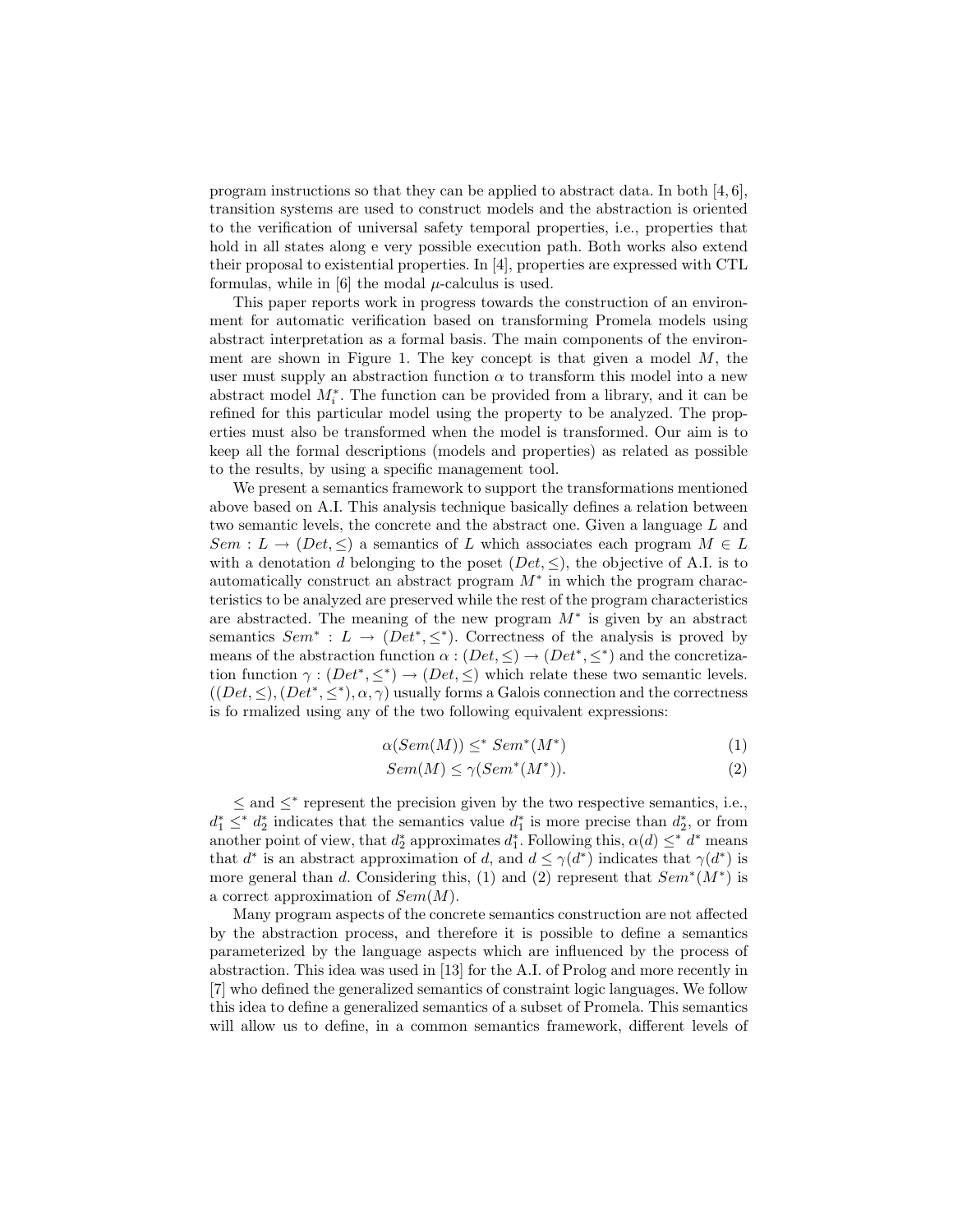program instructions so that they can be applied to abstract data. In both  $[4, 6]$ , transition systems are used to construct models and the abstraction is oriented to the verification of universal safety temporal properties, i.e., properties that hold in all states along e very possible execution path. Both works also extend their proposal to existential properties. In [4], properties are expressed with CTL formulas, while in  $[6]$  the modal  $\mu$ -calculus is used.

This paper reports work in progress towards the construction of an environment for automatic verification based on transforming Promela models using abstract interpretation as a formal basis. The main components of the environment are shown in Figure 1. The key concept is that given a model  $M$ , the user must supply an abstraction function  $\alpha$  to transform this model into a new abstract model  $M_i^*$ . The function can be provided from a library, and it can be refined for this particular model using the property to be analyzed. The properties must also be transformed when the model is transformed. Our aim is to keep all the formal descriptions (models and properties) as related as possible to the results, by using a specific management tool.

We present a semantics framework to support the transformations mentioned above based on A.I. This analysis technique basically defines a relation between two semantic levels, the concrete and the abstract one. Given a language L and  $Sem: L \to (Det, \leq)$  a semantics of L which associates each program  $M \in L$ with a denotation d belonging to the poset  $(Det, \leq)$ , the objective of A.I. is to automatically construct an abstract program  $M^*$  in which the program characteristics to be analyzed are preserved while the rest of the program characteristics are abstracted. The meaning of the new program  $M^*$  is given by an abstract semantics  $Sem^* : L \to (Det^*, \leq^*)$ . Correctness of the analysis is proved by means of the abstraction function  $\alpha$ :  $(Det, \leq) \rightarrow (Det^*, \leq^*)$  and the concretization function  $\gamma : (Det^*, \leq^*) \to (Det, \leq)$  which relate these two semantic levels.  $((Det, \leq), (Det^*, \leq^*), \alpha, \gamma)$  usually forms a Galois connection and the correctness is fo rmalized using any of the two following equivalent expressions:

$$
\alpha(Sem(M)) \leq^* Sem^*(M^*) \tag{1}
$$

$$
Sem(M) \le \gamma(Sem^*(M^*)). \tag{2}
$$

 $\leq$  and  $\leq^*$  represent the precision given by the two respective semantics, i.e.,  $d_1^* \leq^* d_2^*$  indicates that the semantics value  $d_1^*$  is more precise than  $d_2^*$ , or from another point of view, that  $d_2^*$  approximates  $d_1^*$ . Following this,  $\alpha(d) \leq^* d^*$  means that  $d^*$  is an abstract approximation of d, and  $d \leq \gamma(d^*)$  indicates that  $\gamma(d^*)$  is more general than d. Considering this, (1) and (2) represent that  $Sem^*(M^*)$  is a correct approximation of  $Sem(M)$ .

Many program aspects of the concrete semantics construction are not affected by the abstraction process, and therefore it is possible to define a semantics parameterized by the language aspects which are influenced by the process of abstraction. This idea was used in [13] for the A.I. of Prolog and more recently in [7] who defined the generalized semantics of constraint logic languages. We follow this idea to define a generalized semantics of a subset of Promela. This semantics will allow us to define, in a common semantics framework, different levels of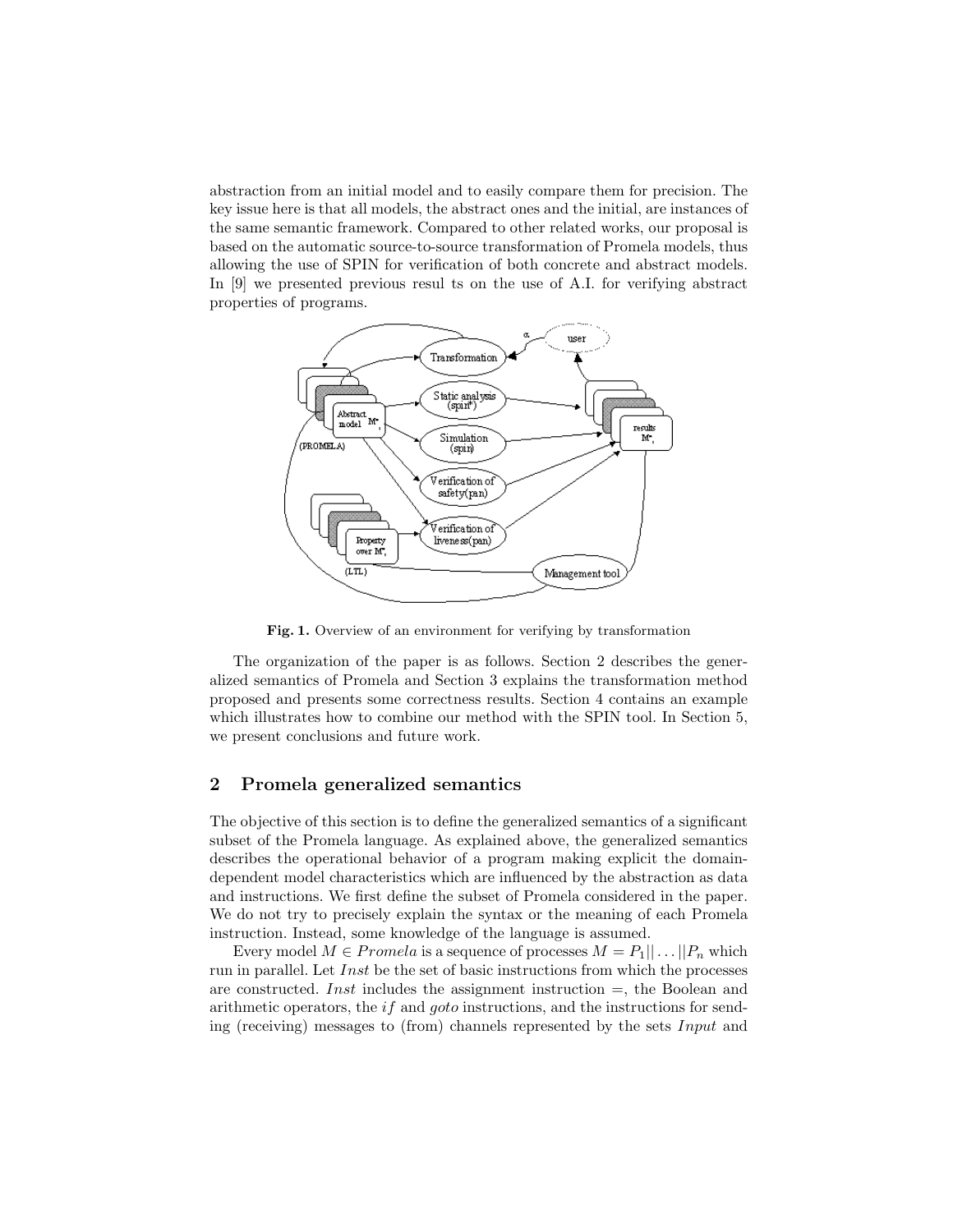abstraction from an initial model and to easily compare them for precision. The key issue here is that all models, the abstract ones and the initial, are instances of the same semantic framework. Compared to other related works, our proposal is based on the automatic source-to-source transformation of Promela models, thus allowing the use of SPIN for verification of both concrete and abstract models. In [9] we presented previous resul ts on the use of A.I. for verifying abstract properties of programs.



Fig. 1. Overview of an environment for verifying by transformation

The organization of the paper is as follows. Section 2 describes the generalized semantics of Promela and Section 3 explains the transformation method proposed and presents some correctness results. Section 4 contains an example which illustrates how to combine our method with the SPIN tool. In Section 5, we present conclusions and future work.

## **2 Promela generalized semantics**

The objective of this section is to define the generalized semantics of a significant subset of the Promela language. As explained above, the generalized semantics describes the operational behavior of a program making explicit the domaindependent model characteristics which are influenced by the abstraction as data and instructions. We first define the subset of Promela considered in the paper. We do not try to precisely explain the syntax or the meaning of each Promela instruction. Instead, some knowledge of the language is assumed.

Every model  $M \in *Promela*$  is a sequence of processes  $M = P_1 || \dots || P_n$  which run in parallel. Let Inst be the set of basic instructions from which the processes are constructed. Inst includes the assignment instruction  $=$ , the Boolean and arithmetic operators, the  $if$  and  $goto$  instructions, and the instructions for sending (receiving) messages to (from) channels represented by the sets Input and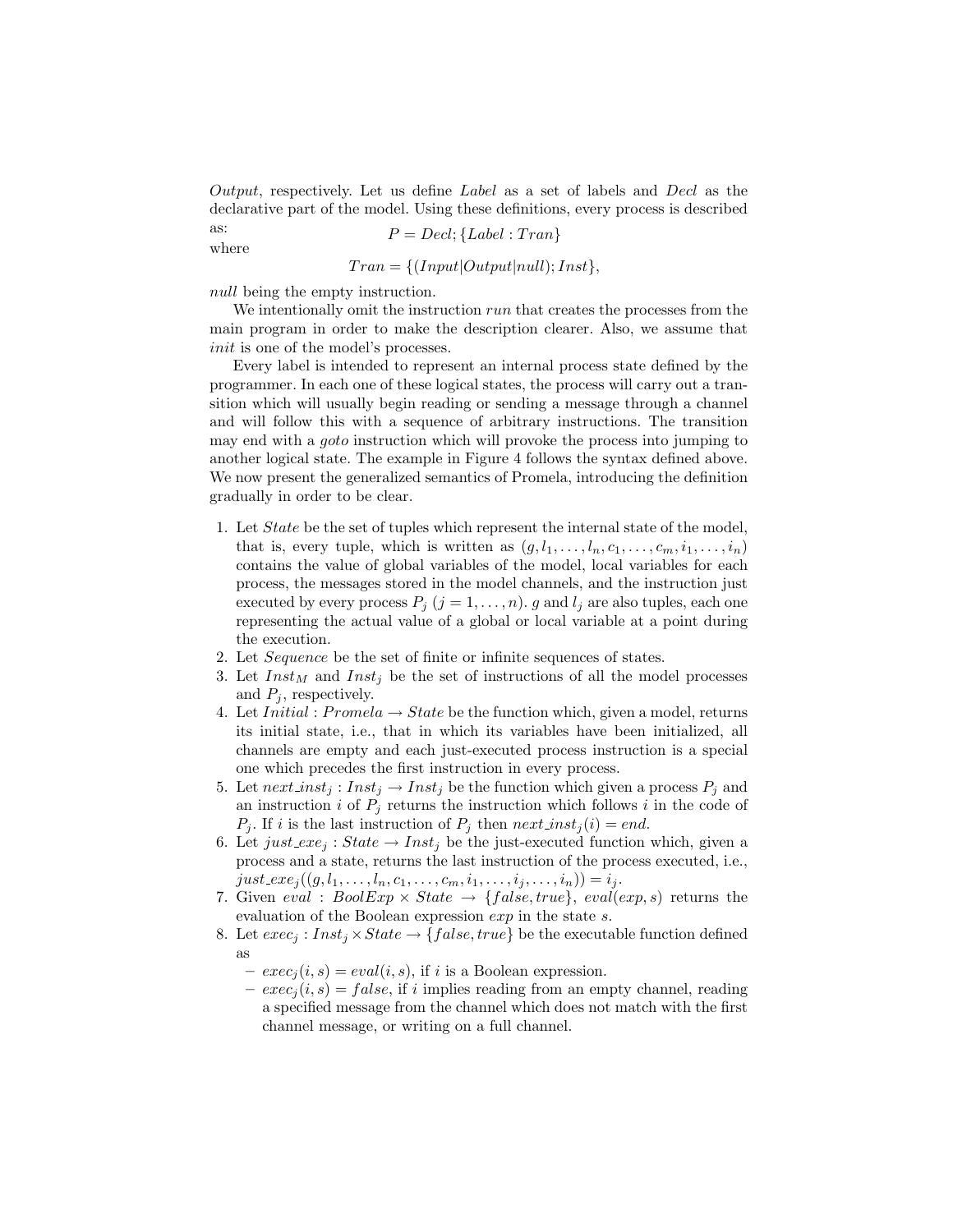Output, respectively. Let us define Label as a set of labels and Decl as the declarative part of the model. Using these definitions, every process is described

as:  $P = Decl$ ; {Label : Tran} where  $Tran = \{(Input|Output|null); Inst\},\}$ 

null being the empty instruction.

We intentionally omit the instruction  $run$  that creates the processes from the main program in order to make the description clearer. Also, we assume that init is one of the model's processes.

Every label is intended to represent an internal process state defined by the programmer. In each one of these logical states, the process will carry out a transition which will usually begin reading or sending a message through a channel and will follow this with a sequence of arbitrary instructions. The transition may end with a goto instruction which will provoke the process into jumping to another logical state. The example in Figure 4 follows the syntax defined above. We now present the generalized semantics of Promela, introducing the definition gradually in order to be clear.

- 1. Let State be the set of tuples which represent the internal state of the model, that is, every tuple, which is written as  $(g, l_1, \ldots, l_n, c_1, \ldots, c_m, i_1, \ldots, i_n)$ contains the value of global variables of the model, local variables for each process, the messages stored in the model channels, and the instruction just executed by every process  $P_i$   $(j = 1, \ldots, n)$ . g and  $l_i$  are also tuples, each one representing the actual value of a global or local variable at a point during the execution.
- 2. Let Sequence be the set of finite or infinite sequences of states.
- 3. Let  $Inst_M$  and  $Inst_j$  be the set of instructions of all the model processes and  $P_i$ , respectively.
- 4. Let Initial : Promela  $\rightarrow$  State be the function which, given a model, returns its initial state, i.e., that in which its variables have been initialized, all channels are empty and each just-executed process instruction is a special one which precedes the first instruction in every process.
- 5. Let  $next_inst_j: Inst_j \to Inst_j$  be the function which given a process  $P_j$  and an instruction i of  $P_i$  returns the instruction which follows i in the code of  $P_i$ . If i is the last instruction of  $P_i$  then  $next_inst_i(i) = end$ .
- 6. Let  $just\_exe_i : State \rightarrow Inst_i$  be the just-executed function which, given a process and a state, returns the last instruction of the process executed, i.e.,  $just\_exe_j((g, l_1, \ldots, l_n, c_1, \ldots, c_m, i_1, \ldots, i_j, \ldots, i_n)) = i_j.$
- 7. Given eval :  $BoolExp \times State \rightarrow \{false, true\}$ ,  $eval(exp, s)$  returns the evaluation of the Boolean expression exp in the state s.
- 8. Let  $exec_i: Inst_i \times State \rightarrow \{false, true\}$  be the executable function defined as
	- $rearrow_i(i, s) = eval(i, s)$ , if i is a Boolean expression.
	- $-\c{exec<sub>i</sub>(i, s) = false, if i implies reading from an empty channel, reading$ a specified message from the channel which does not match with the first channel message, or writing on a full channel.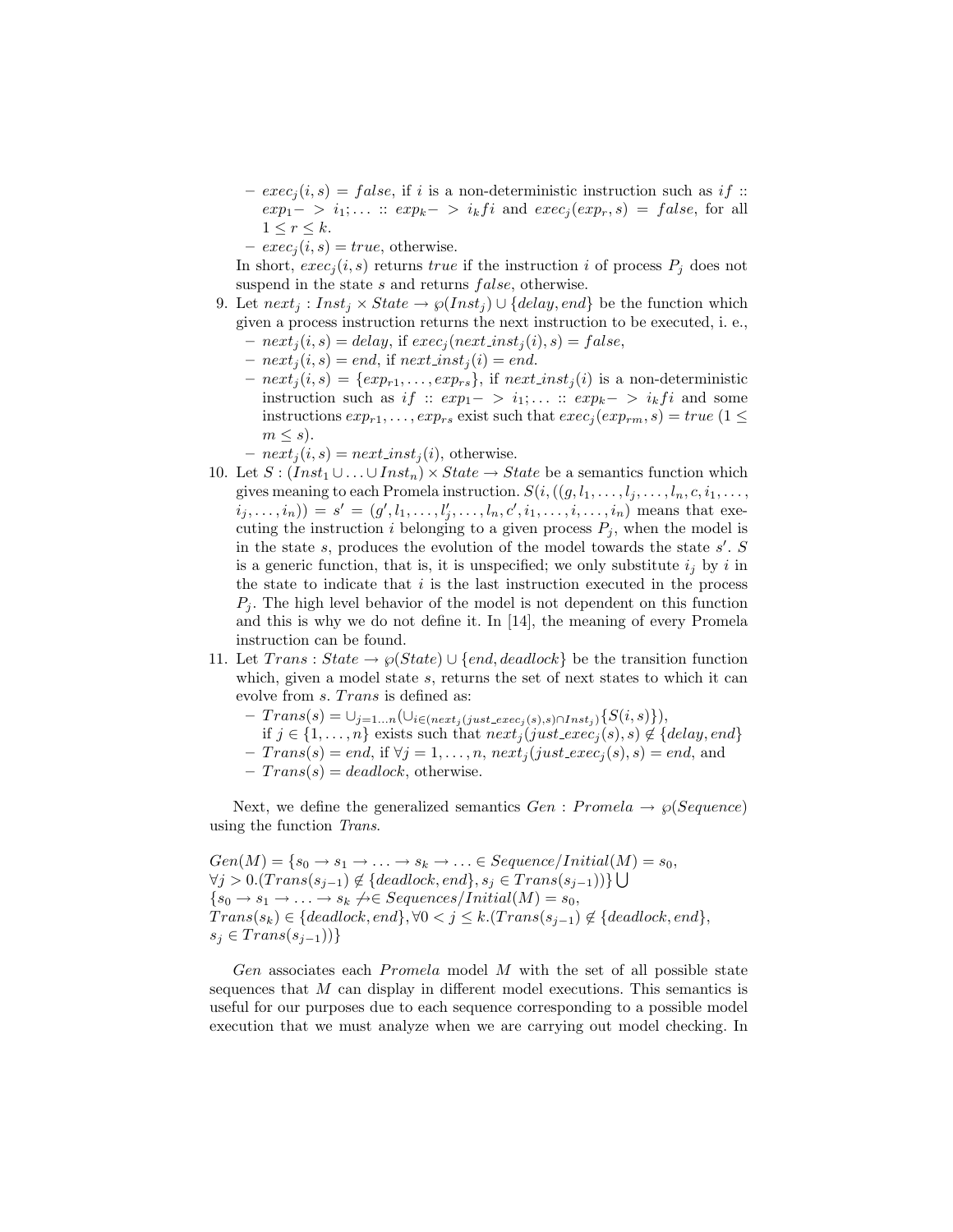- $-\c{exec}_i(i, s) = false$ , if i is a non-deterministic instruction such as if ::  $exp_1 - \frac{1}{2}$  i<sub>1</sub>; ... ::  $exp_k - \frac{1}{2}$  i<sub>k</sub>fi and  $exec_j(exp_r, s) = false$ , for all  $1 \leq r \leq k$ .
- $re_{x}e_{i}(i,s) = true$ , otherwise.

In short,  $exec_i(i, s)$  returns true if the instruction i of process  $P_i$  does not suspend in the state  $s$  and returns  $false$ , otherwise.

- 9. Let  $next_i: Inst_i \times State \rightarrow \wp(Inst_i) \cup \{delay, end\}$  be the function which given a process instruction returns the next instruction to be executed, i. e.,
	- $next<sub>i</sub>(i, s) = delay, if  $exec<sub>i</sub>(next_inst<sub>i</sub>(i), s) = false,$$
	- $next<sub>i</sub>(i, s) = end, if next*inst<sub>i</sub>*(i) = end.$
	- $next<sub>i</sub>(i, s) = {exp<sub>r1</sub>, ..., exp<sub>rs</sub>},$  if  $next*inst<sub>i</sub>(i)*$  is a non-deterministic instruction such as if ::  $exp_1 - \frac{1}{1}$ ; ... ::  $exp_k - \frac{1}{1}$  and some instructions  $exp_{r1}, \ldots, exp_{rs}$  exist such that  $exec_i(exp_{rm}, s) = true$  (1  $\leq$  $m \leq s$ ).
	- $next<sub>i</sub>(i, s) = next*inst<sub>i</sub>(i)*, otherwise.$
- 10. Let  $S : (Inst_1 \cup ... \cup Inst_n) \times State \rightarrow State$  be a semantics function which gives meaning to each Promela instruction.  $S(i,((g,1_1,\ldots,l_j,\ldots,l_n,c,i_1,\ldots,$  $(i_j, \ldots, i_n)$  =  $s' = (g', l_1, \ldots, l'_j, \ldots, l_n, c', i_1, \ldots, i, \ldots, i_n)$  means that executing the instruction i belonging to a given process  $P_i$ , when the model is in the state  $s$ , produces the evolution of the model towards the state  $s'$ .  $S$ is a generic function, that is, it is unspecified; we only substitute  $i_j$  by i in the state to indicate that  $i$  is the last instruction executed in the process  $P_i$ . The high level behavior of the model is not dependent on this function and this is why we do not define it. In [14], the meaning of every Promela instruction can be found.
- 11. Let  $Trans: State \rightarrow \wp(State) \cup \{end, deadlock\}$  be the transition function which, given a model state s, returns the set of next states to which it can evolve from s. Trans is defined as:
	- $-$  Trans(s) = ∪<sub>j=1</sub>,..<sub>n</sub>(∪<sub>i∈(next<sub>i</sub>(just\_exec<sub>i</sub>(s),s)∩Inst<sub>i</sub></sub>{S(i,s)}), if  $j \in \{1, \ldots, n\}$  exists such that  $next_j(just\_exec_j(s), s) \notin \{delay, end\}$  $-Trans(s) = end$ , if  $\forall j = 1, ..., n$ ,  $next_j(just\_exec_j(s), s) = end$ , and  $- Trans(s) = deadlock$ , otherwise.

Next, we define the generalized semantics  $Gen : Promela \rightarrow \wp(Sequence)$ using the function Trans.

 $Gen(M) = \{s_0 \rightarrow s_1 \rightarrow \ldots \rightarrow s_k \rightarrow \ldots \in Sequence/Initial(M) = s_0,$  $\forall j > 0.$ (Trans $(s_{j-1}) \notin \{deadlock, end\}, s_j \in Trans(s_{j-1}))\} \bigcup$  ${s_0 \rightarrow s_1 \rightarrow \ldots \rightarrow s_k \not\rightarrow \in Sequences/Initial(M) = s_0,}$  $Trans(s_k) \in \{deadlock, end\}, \forall 0 < j \leq k. (Trans(s_{i-1}) \notin \{deadlock, end\},\$  $s_j \in Trans(s_{j-1}))\}$ 

 $Gen$  associates each *Promela* model  $M$  with the set of all possible state sequences that M can display in different model executions. This semantics is useful for our purposes due to each sequence corresponding to a possible model execution that we must analyze when we are carrying out model checking. In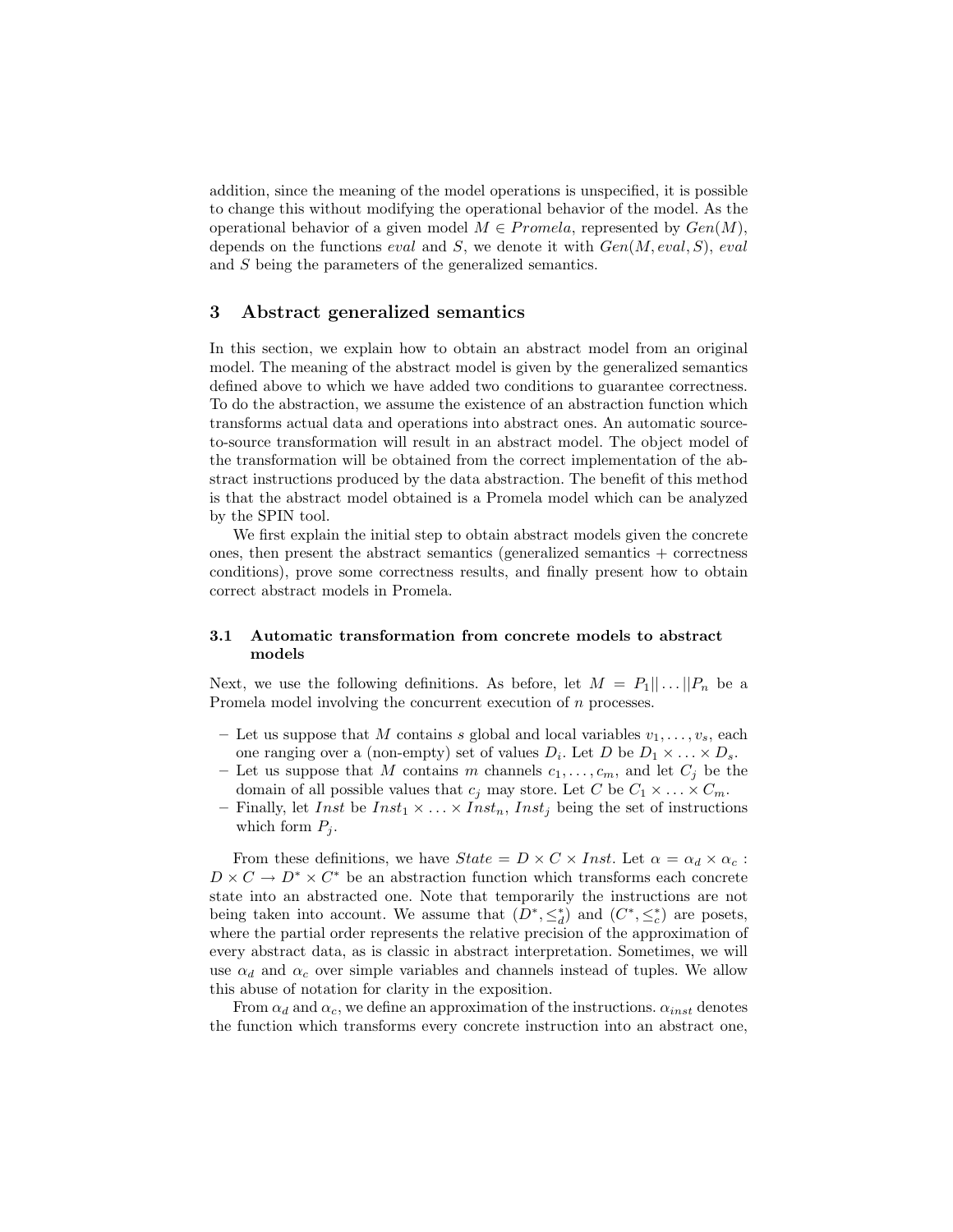addition, since the meaning of the model operations is unspecified, it is possible to change this without modifying the operational behavior of the model. As the operational behavior of a given model  $M \in Promela$ , represented by  $Gen(M)$ , depends on the functions *eval* and S, we denote it with  $Gen(M, eval, S)$ , *eval* and S being the parameters of the generalized semantics.

### **3 Abstract generalized semantics**

In this section, we explain how to obtain an abstract model from an original model. The meaning of the abstract model is given by the generalized semantics defined above to which we have added two conditions to guarantee correctness. To do the abstraction, we assume the existence of an abstraction function which transforms actual data and operations into abstract ones. An automatic sourceto-source transformation will result in an abstract model. The object model of the transformation will be obtained from the correct implementation of the abstract instructions produced by the data abstraction. The benefit of this method is that the abstract model obtained is a Promela model which can be analyzed by the SPIN tool.

We first explain the initial step to obtain abstract models given the concrete ones, then present the abstract semantics (generalized semantics + correctness conditions), prove some correctness results, and finally present how to obtain correct abstract models in Promela.

#### **3.1 Automatic transformation from concrete models to abstract models**

Next, we use the following definitions. As before, let  $M = P_1 || \dots || P_n$  be a Promela model involving the concurrent execution of n processes.

- Let us suppose that M contains s global and local variables  $v_1, \ldots, v_s$ , each one ranging over a (non-empty) set of values  $D_i$ . Let D be  $D_1 \times \ldots \times D_s$ .
- Let us suppose that M contains m channels  $c_1, \ldots, c_m$ , and let  $C_j$  be the domain of all possible values that  $c_j$  may store. Let C be  $C_1 \times \ldots \times C_m$ .
- Finally, let Inst be  $Inst_1 \times ... \times Inst_n$ , Inst<sub>i</sub> being the set of instructions which form  $P_i$ .

From these definitions, we have  $State = D \times C \times Inst$ . Let  $\alpha = \alpha_d \times \alpha_c$ :  $D \times C \to D^* \times C^*$  be an abstraction function which transforms each concrete state into an abstracted one. Note that temporarily the instructions are not being taken into account. We assume that  $(D^*, \leq_d^*)$  and  $(C^*, \leq_c^*)$  are posets, where the partial order represents the relative precision of the approximation of every abstract data, as is classic in abstract interpretation. Sometimes, we will use  $\alpha_d$  and  $\alpha_c$  over simple variables and channels instead of tuples. We allow this abuse of notation for clarity in the exposition.

From  $\alpha_d$  and  $\alpha_c$ , we define an approximation of the instructions.  $\alpha_{inst}$  denotes the function which transforms every concrete instruction into an abstract one,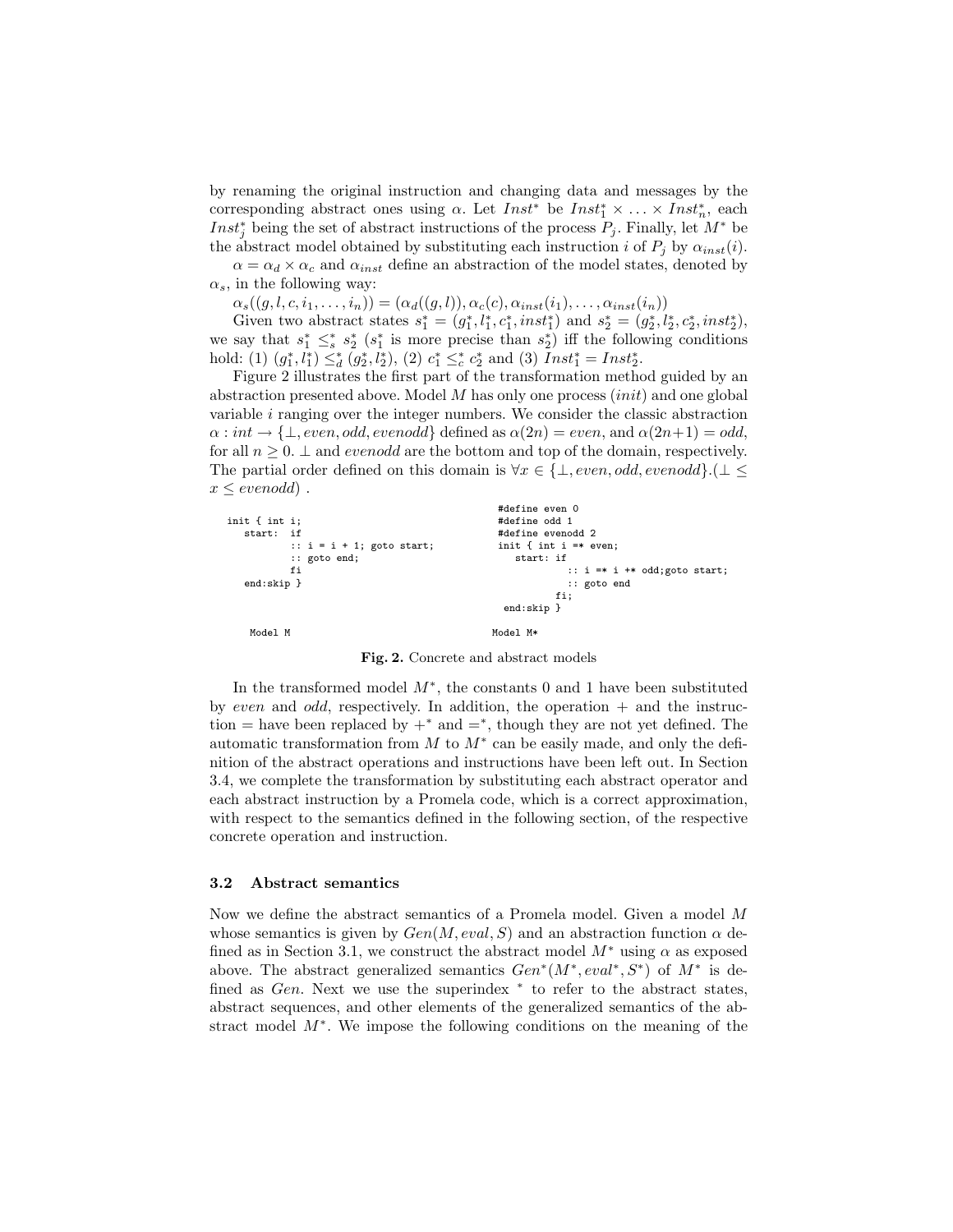by renaming the original instruction and changing data and messages by the corresponding abstract ones using  $\alpha$ . Let  $Inst^*$  be  $Inst^*$  × ... ×  $Inst^*$ , each  $Inst^*_j$  being the set of abstract instructions of the process  $P_j$ . Finally, let  $M^*$  be the abstract model obtained by substituting each instruction i of  $P_i$  by  $\alpha_{inst}(i)$ .

 $\alpha = \alpha_d \times \alpha_c$  and  $\alpha_{inst}$  define an abstraction of the model states, denoted by  $\alpha_s$ , in the following way:

 $\alpha_s((g, l, c, i_1,\ldots,i_n)) = (\alpha_d((g, l)), \alpha_c(c), \alpha_{inst}(i_1),\ldots,\alpha_{inst}(i_n))$ 

Given two abstract states  $s_1^* = (g_1^*, l_1^*, c_1^*, inst_1^*)$  and  $s_2^* = (g_2^*, l_2^*, c_2^*, inst_2^*),$ we say that  $s_1^* \leq s_2^* s_2^*$  ( $s_1^*$  is more precise than  $s_2^*$ ) iff the following conditions hold: (1)  $(g_1^*, l_1^*) \leq_d^* (g_2^*, l_2^*),$  (2)  $c_1^* \leq_c^* c_2^*$  and (3)  $Inst_1^* = Inst_2^*$ .

Figure 2 illustrates the first part of the transformation method guided by an abstraction presented above. Model  $M$  has only one process  $(nit)$  and one global variable  $i$  ranging over the integer numbers. We consider the classic abstraction  $\alpha : int \to \{\perp, even, odd, even odd\}$  defined as  $\alpha(2n) = even$ , and  $\alpha(2n+1) = odd$ , for all  $n \geq 0$ .  $\perp$  and *evenodd* are the bottom and top of the domain, respectively. The partial order defined on this domain is  $\forall x \in \{\bot, even, odd, even odd\}.$  $x \leq even odd$ .

```
#define even 0
init { int i; #define odd 1<br>start: if #define even
                                #define evenodd 2
       :: i = i + 1; goto start; init { int i =* even;
       :: goto end; start: if
                                        \therefore i =* i +* odd;goto start;
  end:skip } :: goto end
                                       fi;
                                 end:skip }
  Model M Model M*
```
**Fig. 2.** Concrete and abstract models

In the transformed model  $M^*$ , the constants 0 and 1 have been substituted by even and odd, respectively. In addition, the operation  $+$  and the instruction = have been replaced by  $+^*$  and  $=^*$ , though they are not yet defined. The automatic transformation from M to  $M^*$  can be easily made, and only the definition of the abstract operations and instructions have been left out. In Section 3.4, we complete the transformation by substituting each abstract operator and each abstract instruction by a Promela code, which is a correct approximation, with respect to the semantics defined in the following section, of the respective concrete operation and instruction.

#### **3.2 Abstract semantics**

Now we define the abstract semantics of a Promela model. Given a model M whose semantics is given by  $Gen(M, eval, S)$  and an abstraction function  $\alpha$  defined as in Section 3.1, we construct the abstract model  $M^*$  using  $\alpha$  as exposed above. The abstract generalized semantics  $Gen^*(M^*, eval^*, S^*)$  of  $M^*$  is defined as Gen. Next we use the superindex  $*$  to refer to the abstract states, abstract sequences, and other elements of the generalized semantics of the abstract model  $M^*$ . We impose the following conditions on the meaning of the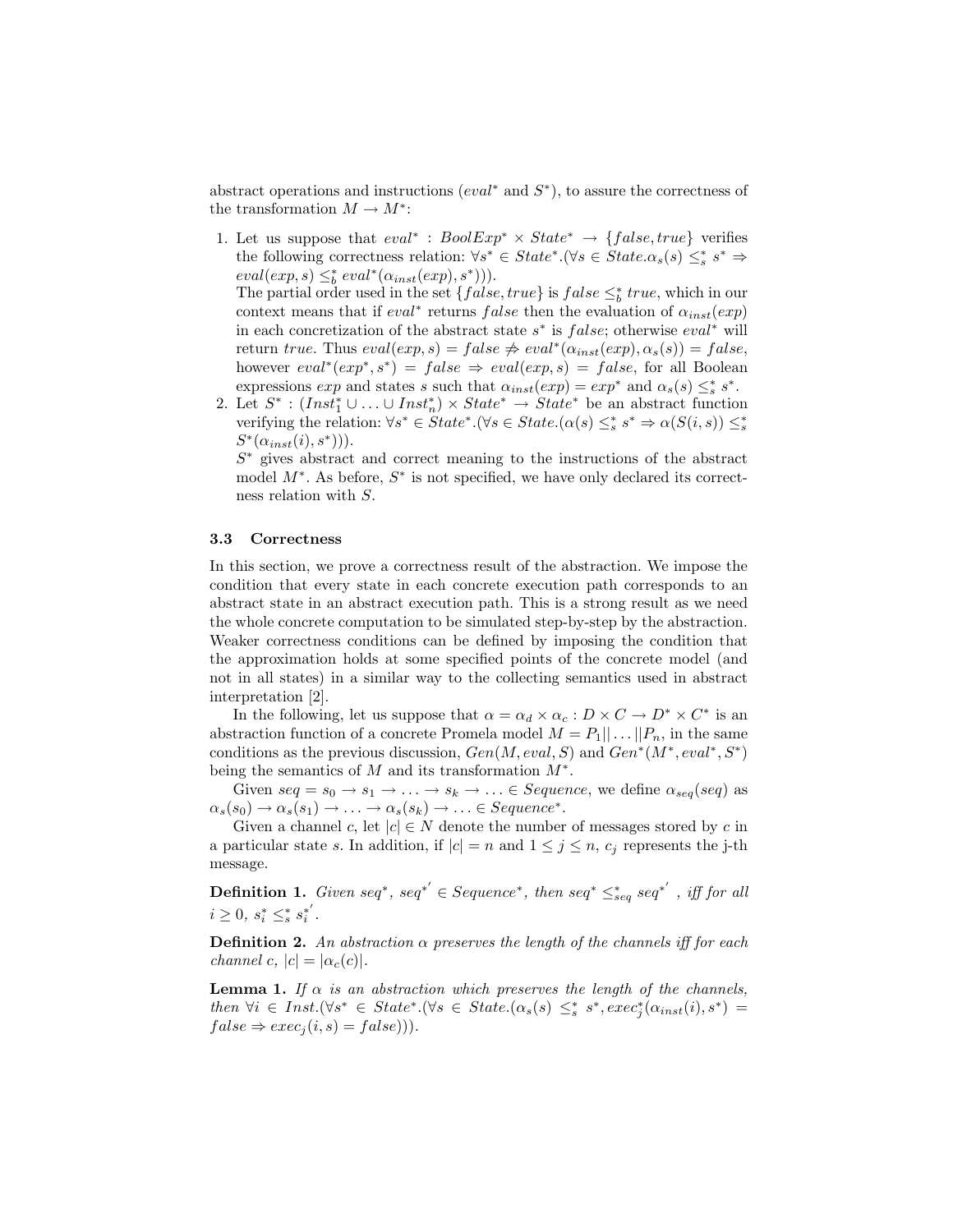abstract operations and instructions  $(eval^*)$  and  $S^*$ , to assure the correctness of the transformation  $M \to M^*$ :

- 1. Let us suppose that  $eval^* : BookExp^* \times State^* \rightarrow \{false, true\}$  verifies the following correctness relation:  $\forall s^* \in State^* . (\forall s \in State \alpha_s(s) \leq_s^* s^* \Rightarrow$  $eval(exp, s) \leq_b^* eval^*(\alpha_{inst}(exp), s^*)).$ The partial order used in the set  $\{false, true\}$  is  $false \leq_b^* true$ , which in our context means that if  $eval^*$  returns false then the evaluation of  $\alpha_{inst}(exp)$ in each concretization of the abstract state  $s<sup>*</sup>$  is *false*; otherwise  $eval<sup>*</sup>$  will return true. Thus  $eval(exp, s) = false \neq eval^*(\alpha_{inst}(exp), \alpha_s(s)) = false,$ however  $eval^*(exp^*, s^*) = false \Rightarrow eval(exp, s) = false$ , for all Boolean expressions  $exp$  and states s such that  $\alpha_{inst}(exp) = exp^*$  and  $\alpha_s(s) \leq_s^* s^*$ .
- 2. Let  $S^*$ :  $(Inst_1^* \cup ... \cup Inst_n^*) \times State^* \rightarrow State^*$  be an abstract function verifying the relation:  $\forall s^* \in State^* . (\forall s \in State . (\alpha(s) \leq_s^* s^* \Rightarrow \alpha(S(i, s)) \leq_s^*$  $S^*(\alpha_{inst}(i), s^*)$ ).

S<sup>∗</sup> gives abstract and correct meaning to the instructions of the abstract model  $M^*$ . As before,  $S^*$  is not specified, we have only declared its correctness relation with S.

#### **3.3 Correctness**

In this section, we prove a correctness result of the abstraction. We impose the condition that every state in each concrete execution path corresponds to an abstract state in an abstract execution path. This is a strong result as we need the whole concrete computation to be simulated step-by-step by the abstraction. Weaker correctness conditions can be defined by imposing the condition that the approximation holds at some specified points of the concrete model (and not in all states) in a similar way to the collecting semantics used in abstract interpretation [2].

In the following, let us suppose that  $\alpha = \alpha_d \times \alpha_c : D \times C \to D^* \times C^*$  is an abstraction function of a concrete Promela model  $M = P_1 || \dots || P_n$ , in the same conditions as the previous discussion,  $Gen(M, eval, S)$  and  $Gen^*(M^*, eval^*, S^*)$ being the semantics of M and its transformation  $M^*$ .

Given  $seq = s_0 \rightarrow s_1 \rightarrow \ldots \rightarrow s_k \rightarrow \ldots \in Sequence$ , we define  $\alpha_{seq}(seq)$  as  $\alpha_s(s_0) \to \alpha_s(s_1) \to \ldots \to \alpha_s(s_k) \to \ldots \in Sequence^*.$ 

Given a channel c, let  $|c| \in N$  denote the number of messages stored by c in a particular state s. In addition, if  $|c| = n$  and  $1 \le j \le n$ ,  $c_j$  represents the j-th message.

**Definition 1.** Given seq<sup>\*</sup>, seq<sup>\*'</sup>  $\in Sequence^*$ , then seq<sup>\*</sup>  $\leq^*_{seq} seq^{*'}$  , iff for all  $i \geq 0, s_i^* \leq_s^* s_i^{*'}$ .

**Definition 2.** An abstraction  $\alpha$  preserves the length of the channels iff for each channel c,  $|c| = |\alpha_c(c)|$ .

**Lemma 1.** If  $\alpha$  is an abstraction which preserves the length of the channels, then  $\forall i \in Inst.(\forall s^* \in State^*(\forall s \in State.(\alpha_s(s) \leq_s^* s^*, exec_j^*(\alpha_{inst}(i), s^*) =$  $false \Rightarrow exec_j(i, s) = false$ )).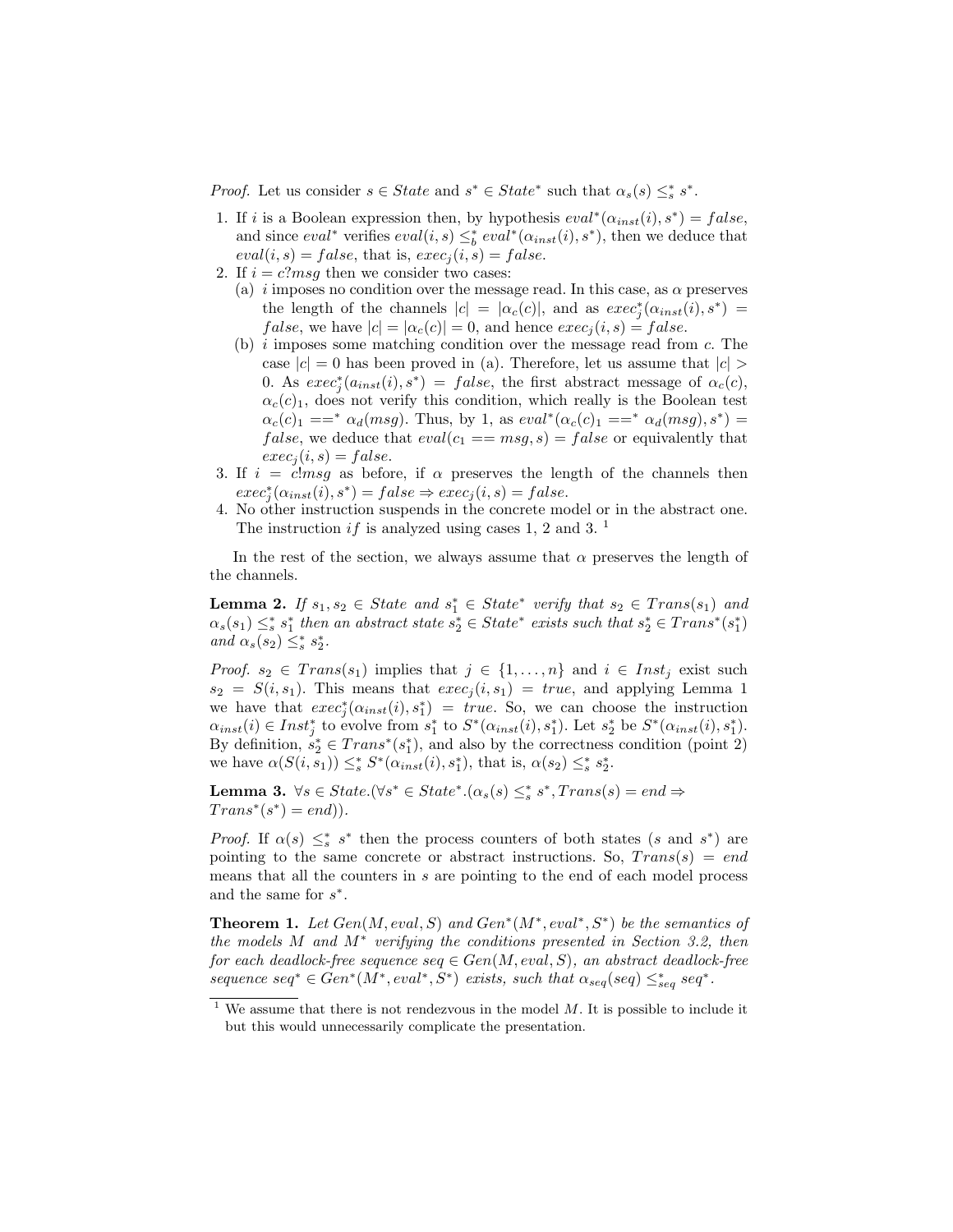*Proof.* Let us consider  $s \in State$  and  $s^* \in State^*$  such that  $\alpha_s(s) \leq_s^* s^*$ .

- 1. If i is a Boolean expression then, by hypothesis  $eval^*(\alpha_{inst}(i), s^*) = false$ , and since  $eval^*$  verifies  $eval(i, s) \leq_b^* eval^*(\alpha_{inst}(i), s^*)$ , then we deduce that  $eval(i, s) = false$ , that is,  $exec_i(i, s) = false$ .
- 2. If  $i = c$ ?*msg* then we consider two cases:
	- (a) i imposes no condition over the message read. In this case, as  $\alpha$  preserves the length of the channels  $|c| = |\alpha_c(c)|$ , and as  $exec_j^*(\alpha_{inst}(i), s^*) =$ *false*, we have  $|c| = |\alpha_c(c)| = 0$ , and hence  $exec_i(i, s) = false$ .
	- (b)  $i$  imposes some matching condition over the message read from  $c$ . The case  $|c| = 0$  has been proved in (a). Therefore, let us assume that  $|c| >$ 0. As  $exec_j^*(a_{inst}(i), s^*) = false$ , the first abstract message of  $\alpha_c(c)$ ,  $\alpha_c(c)_1$ , does not verify this condition, which really is the Boolean test  $\alpha_c(c)_1 = \equiv^* \alpha_d(msg)$ . Thus, by 1, as  $eval^*(\alpha_c(c)_1 = \equiv^* \alpha_d(msg), s^*)$ *false*, we deduce that  $eval(c_1 == msg, s) = false$  or equivalently that  $exec_i(i, s) = false.$
- 3. If  $i = c$ lmsg as before, if  $\alpha$  preserves the length of the channels then  $exec_j^*(\alpha_{inst}(i), s^*) = false \Rightarrow exec_j(i, s) = false.$
- 4. No other instruction suspends in the concrete model or in the abstract one. The instruction if is analyzed using cases 1, 2 and 3.<sup>1</sup>

In the rest of the section, we always assume that  $\alpha$  preserves the length of the channels.

**Lemma 2.** If  $s_1, s_2 \in State$  and  $s_1^* \in State^*$  verify that  $s_2 \in Trans(s_1)$  and  $\alpha_s(s_1) \leq_s^* s_1^*$  then an abstract state  $s_2^* \in State^*$  exists such that  $s_2^* \in Trans^*(s_1^*)$ and  $\alpha_s(s_2) \leq_s^* s_2^*$ .

*Proof.*  $s_2 \in Trans(s_1)$  implies that  $j \in \{1, ..., n\}$  and  $i \in Inst_j$  exist such  $s_2 = S(i, s_1)$ . This means that  $exec_j(i, s_1) = true$ , and applying Lemma 1 we have that  $exec_j^*(\alpha_{inst}(i), s_1^*) = true$ . So, we can choose the instruction  $\alpha_{inst}(i) \in Inst_j^*$  to evolve from  $s_1^*$  to  $S^*(\alpha_{inst}(i), s_1^*)$ . Let  $s_2^*$  be  $S^*(\alpha_{inst}(i), s_1^*)$ . By definition,  $s_2^* \in Trans^*(s_1^*)$ , and also by the correctness condition (point 2) we have  $\alpha(S(i, s_1)) \leq_s^* S^*(\alpha_{inst}(i), s_1^*)$ , that is,  $\alpha(s_2) \leq_s^* s_2^*$ .

**Lemma 3.**  $\forall s \in State. (\forall s^* \in State^*. (\alpha_s(s) \leq_s^* s^*.Trans(s) = end \Rightarrow$  $Trans<sup>*</sup>(s<sup>*</sup>) = end).$ 

*Proof.* If  $\alpha(s) \leq_s^* s^*$  then the process counters of both states (s and s<sup>\*</sup>) are pointing to the same concrete or abstract instructions. So,  $Trans(s) = end$ means that all the counters in s are pointing to the end of each model process and the same for  $s^*$ .

**Theorem 1.** Let  $Gen(M, eval, S)$  and  $Gen^*(M^*, eval^*, S^*)$  be the semantics of the models M and M<sup>∗</sup> verifying the conditions presented in Section 3.2, then for each deadlock-free sequence  $seq \in Gen(M, eval, S)$ , an abstract deadlock-free sequence  $seq^* \in Gen^*(M^*, eval^*, S^*)$  exists, such that  $\alpha_{seq}(seq) \leq_{seq}^* seq^*.$ 

 $^1$  We assume that there is not rendezvous in the model  $M.$  It is possible to include it but this would unnecessarily complicate the presentation.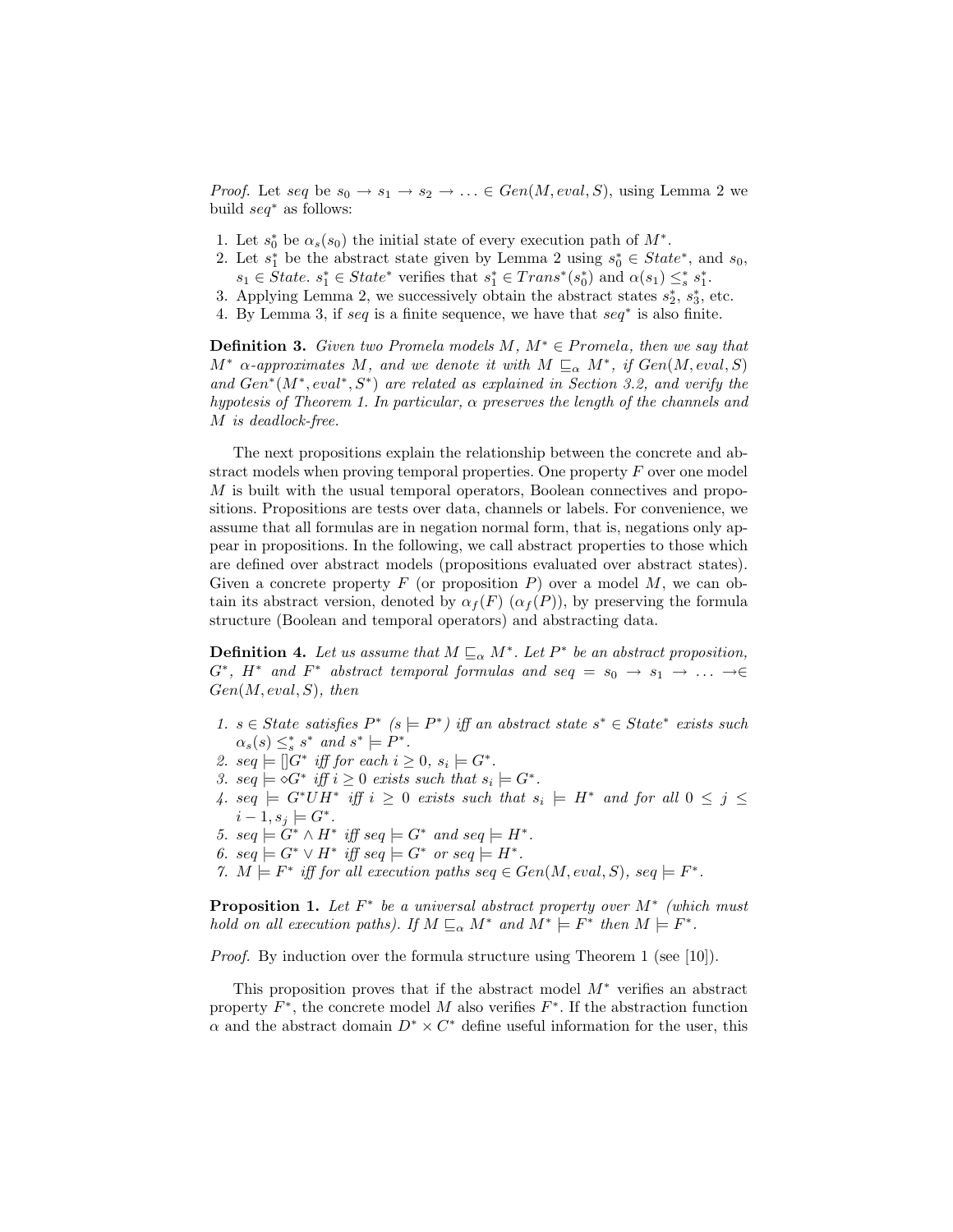*Proof.* Let seq be  $s_0 \to s_1 \to s_2 \to \ldots \in Gen(M, eval, S)$ , using Lemma 2 we build seq<sup>∗</sup> as follows:

- 1. Let  $s_0^*$  be  $\alpha_s(s_0)$  the initial state of every execution path of  $M^*$ .
- 2. Let  $s_1^*$  be the abstract state given by Lemma 2 using  $s_0^* \in State^*$ , and  $s_0$ ,  $s_1 \in State.$   $s_1^* \in State^*$  verifies that  $s_1^* \in Trans^*(s_0^*)$  and  $\alpha(s_1) \leq_s^* s_1^*$ .
- 3. Applying Lemma 2, we successively obtain the abstract states  $s_2^*, s_3^*,$  etc.
- 4. By Lemma 3, if seq is a finite sequence, we have that  $seq^*$  is also finite.

**Definition 3.** Given two Promela models  $M, M^* \in P$  romela, then we say that  $M^*$  α-approximates M, and we denote it with  $M \sqsubseteq_{\alpha} M^*$ , if  $Gen(M, eval, S)$ and  $Gen^*(M^*, eval^*, S^*)$  are related as explained in Section 3.2, and verify the hypotesis of Theorem 1. In particular,  $\alpha$  preserves the length of the channels and M is deadlock-free.

The next propositions explain the relationship between the concrete and abstract models when proving temporal properties. One property  $F$  over one model M is built with the usual temporal operators, Boolean connectives and propositions. Propositions are tests over data, channels or labels. For convenience, we assume that all formulas are in negation normal form, that is, negations only appear in propositions. In the following, we call abstract properties to those which are defined over abstract models (propositions evaluated over abstract states). Given a concrete property F (or proposition P) over a model  $M$ , we can obtain its abstract version, denoted by  $\alpha_f(F)$  ( $\alpha_f(P)$ ), by preserving the formula structure (Boolean and temporal operators) and abstracting data.

**Definition 4.** Let us assume that  $M \sqsubseteq_{\alpha} M^*$ . Let  $P^*$  be an abstract proposition,  $G^*$ ,  $H^*$  and  $F^*$  abstract temporal formulas and seq =  $s_0 \rightarrow s_1 \rightarrow \ldots \rightarrow \in$  $Gen(M, eval, S), then$ 

- 1. s ∈ State satisfies  $P^*$  (s  $\models P^*$ ) iff an abstract state s<sup>\*</sup> ∈ State<sup>\*</sup> exists such  $\alpha_s(s) \leq_s^* s^*$  and  $s^* \models P^*$ .
- 2. seq  $\models [G^*$  iff for each  $i \geq 0$ ,  $s_i \models G^*$ .
- 3. seq  $\models \circ G^*$  iff  $i \geq 0$  exists such that  $s_i \models G^*$ .
- 4. seq  $\vert$  = G\*UH\* iff  $i \geq 0$  exists such that  $s_i \vert$  = H\* and for all  $0 \leq j \leq$  $i-1, s_i \models G^*$ .
- 5. seq  $\models G^* \wedge H^*$  iff seq  $\models G^*$  and seq  $\models H^*$ .
- 6. seq  $\models G^* \vee H^*$  iff seq  $\models G^*$  or seq  $\models H^*$ .
- 7.  $M \models F^*$  iff for all execution paths  $seq \in Gen(M, eval, S), seq \models F^*$ .

**Proposition 1.** Let  $F^*$  be a universal abstract property over  $M^*$  (which must hold on all execution paths). If  $M \sqsubseteq_{\alpha} M^*$  and  $M^* \models F^*$  then  $M \models F^*$ .

*Proof.* By induction over the formula structure using Theorem 1 (see [10]).

This proposition proves that if the abstract model  $M^*$  verifies an abstract property  $F^*$ , the concrete model M also verifies  $F^*$ . If the abstraction function  $\alpha$  and the abstract domain  $D^* \times C^*$  define useful information for the user, this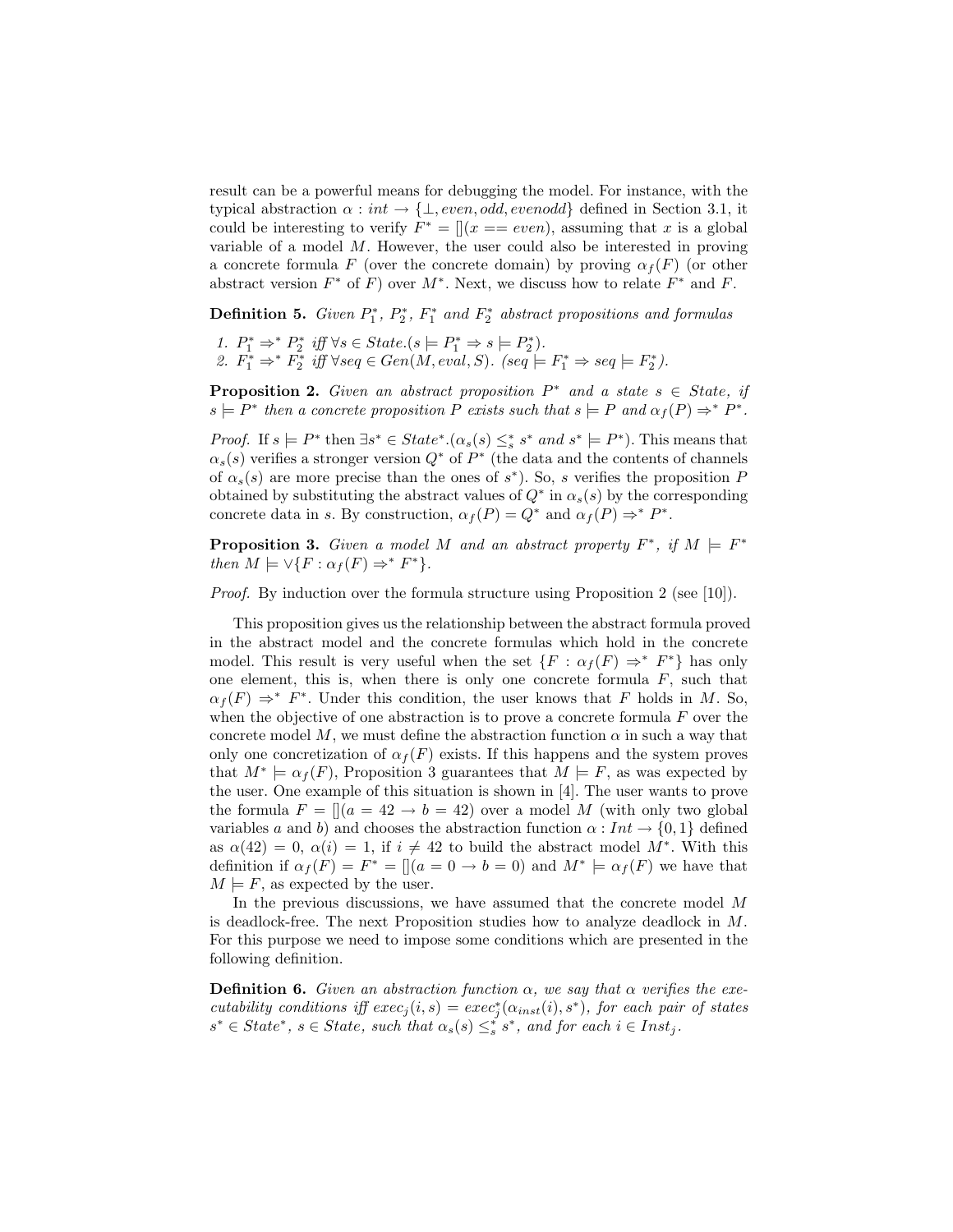result can be a powerful means for debugging the model. For instance, with the typical abstraction  $\alpha : int \to \{\perp, even, odd, even odd\}$  defined in Section 3.1, it could be interesting to verify  $F^* = ||(x == even)$ , assuming that x is a global variable of a model M. However, the user could also be interested in proving a concrete formula F (over the concrete domain) by proving  $\alpha_f(F)$  (or other abstract version  $F^*$  of F) over  $M^*$ . Next, we discuss how to relate  $F^*$  and F.

**Definition 5.** Given  $P_1^*$ ,  $P_2^*$ ,  $F_1^*$  and  $F_2^*$  abstract propositions and formulas

- 1.  $P_1^* \Rightarrow^* P_2^*$  iff  $\forall s \in State.(s \models P_1^* \Rightarrow s \models P_2^*).$
- 2.  $F_1^* \Rightarrow^* F_2^*$  iff  $\forall \text{seq} \in Gen(M, eval, S)$ .  $(\text{seq} \models F_1^* \Rightarrow \text{seq} \models F_2^*).$

**Proposition 2.** Given an abstract proposition  $P^*$  and a state  $s \in State$ , if  $s \models P^*$  then a concrete proposition P exists such that  $s \models P$  and  $\alpha_f(P) \Rightarrow^* P^*$ .

*Proof.* If  $s \models P^*$  then  $\exists s^* \in State^* . (\alpha_s(s) \leq_s^* s^*$  and  $s^* \models P^*$ ). This means that  $\alpha_s(s)$  verifies a stronger version  $Q^*$  of  $P^*$  (the data and the contents of channels of  $\alpha_s(s)$  are more precise than the ones of  $s^*$ ). So, s verifies the proposition P obtained by substituting the abstract values of  $Q^*$  in  $\alpha_s(s)$  by the corresponding concrete data in s. By construction,  $\alpha_f(P) = Q^*$  and  $\alpha_f(P) \Rightarrow^* P^*$ .

**Proposition 3.** Given a model M and an abstract property  $F^*$ , if  $M \models F^*$ then  $M \models \vee \{F : \alpha_f(F) \Rightarrow^* F^*\}.$ 

Proof. By induction over the formula structure using Proposition 2 (see [10]).

This proposition gives us the relationship between the abstract formula proved in the abstract model and the concrete formulas which hold in the concrete model. This result is very useful when the set  $\{F : \alpha_f(F) \Rightarrow^* F^*\}$  has only one element, this is, when there is only one concrete formula  $F$ , such that  $\alpha_f(F) \Rightarrow^* F^*$ . Under this condition, the user knows that F holds in M. So, when the objective of one abstraction is to prove a concrete formula  $F$  over the concrete model M, we must define the abstraction function  $\alpha$  in such a way that only one concretization of  $\alpha_f(F)$  exists. If this happens and the system proves that  $M^* \models \alpha_f(F)$ , Proposition 3 guarantees that  $M \models F$ , as was expected by the user. One example of this situation is shown in [4]. The user wants to prove the formula  $F = ||a = 42 \rightarrow b = 42)$  over a model M (with only two global variables a and b) and chooses the abstraction function  $\alpha : Int \to \{0,1\}$  defined as  $\alpha(42) = 0$ ,  $\alpha(i) = 1$ , if  $i \neq 42$  to build the abstract model M<sup>\*</sup>. With this definition if  $\alpha_f(F) = F^* = [(a = 0 \rightarrow b = 0)$  and  $M^* \models \alpha_f(F)$  we have that  $M \models F$ , as expected by the user.

In the previous discussions, we have assumed that the concrete model M is deadlock-free. The next Proposition studies how to analyze deadlock in M. For this purpose we need to impose some conditions which are presented in the following definition.

**Definition 6.** Given an abstraction function  $\alpha$ , we say that  $\alpha$  verifies the executability conditions iff  $exec_j(i, s) = exec_j^*(\alpha_{inst}(i), s^*)$ , for each pair of states  $s^* \in State^*, s \in State, \ such \ that \ \alpha_s(s) \leq_s^* s^*, \ and \ for \ each \ i \in Inst_j.$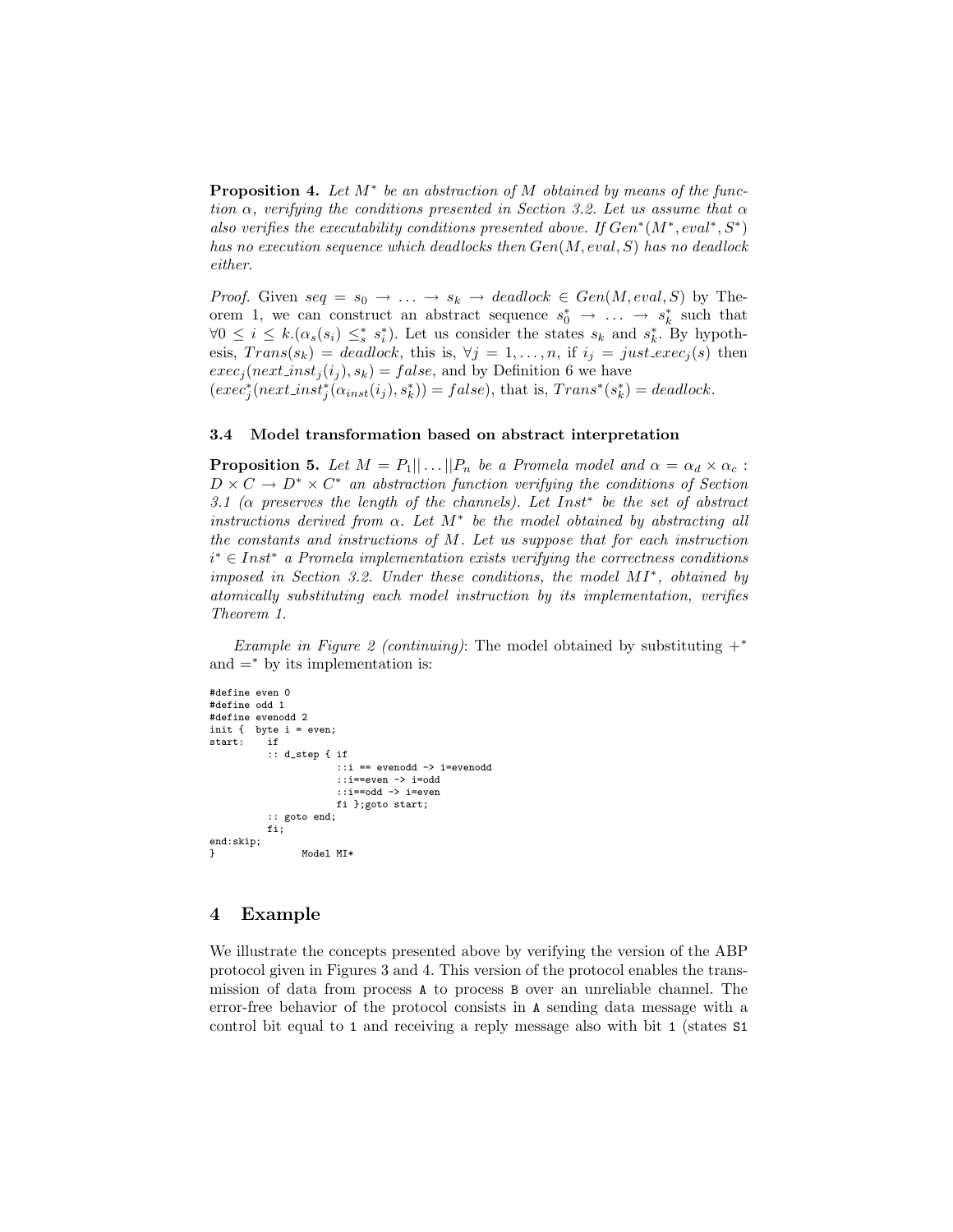**Proposition 4.** Let M<sup>∗</sup> be an abstraction of M obtained by means of the function  $\alpha$ , verifying the conditions presented in Section 3.2. Let us assume that  $\alpha$ also verifies the executability conditions presented above. If  $Gen^*(M^*, eval^*, S^*)$ has no execution sequence which deadlocks then  $Gen(M, eval, S)$  has no deadlock either.

*Proof.* Given  $seq = s_0 \rightarrow \ldots \rightarrow s_k \rightarrow deadlock \in Gen(M, eval, S)$  by Theorem 1, we can construct an abstract sequence  $s_0^* \rightarrow \ldots \rightarrow s_k^*$  such that  $\forall 0 \leq i \leq k. (\alpha_s(s_i) \leq_s^* s_i^*)$ . Let us consider the states  $s_k$  and  $s_k^*$ . By hypothesis,  $Trans(s_k) = deadlock$ , this is,  $\forall j = 1, ..., n$ , if  $i_j = just\_exec_j(s)$  then  $exec_j(next_inst_j(i_j), s_k) = false$ , and by Definition 6 we have  $(exec_j^*(next_inst_j^*(\alpha_{inst}(i_j), s_k^*)) = false),$  that is,  $Trans^*(s_k^*) = deadlock.$ 

## **3.4 Model transformation based on abstract interpretation**

**Proposition 5.** Let  $M = P_1 || \dots || P_n$  be a Promela model and  $\alpha = \alpha_d \times \alpha_c$ :  $D \times C \to D^* \times C^*$  an abstraction function verifying the conditions of Section 3.1 ( $\alpha$  preserves the length of the channels). Let Inst<sup>\*</sup> be the set of abstract instructions derived from  $\alpha$ . Let  $M^*$  be the model obtained by abstracting all the constants and instructions of  $M$ . Let us suppose that for each instruction i <sup>∗</sup> ∈ Inst<sup>∗</sup> a Promela implementation exists verifying the correctness conditions imposed in Section 3.2. Under these conditions, the model MI∗, obtained by atomically substituting each model instruction by its implementation, verifies Theorem 1.

Example in Figure 2 (continuing): The model obtained by substituting  $+$ <sup>\*</sup> and  $=$ <sup>\*</sup> by its implementation is:

```
#define even 0
#define odd 1
#define evenodd 2
init { byte i = even;
start: if
         :: d_step { if
                    ::i == evenodd -> i=evenodd
                    ::i==even -> i=odd
                    ::i==odd -> i=even
                    fi };goto start;
         :: goto end;
         fi;
end:skip;
} Model MI*
```
## **4 Example**

We illustrate the concepts presented above by verifying the version of the ABP protocol given in Figures 3 and 4. This version of the protocol enables the transmission of data from process A to process B over an unreliable channel. The error-free behavior of the protocol consists in A sending data message with a control bit equal to 1 and receiving a reply message also with bit 1 (states S1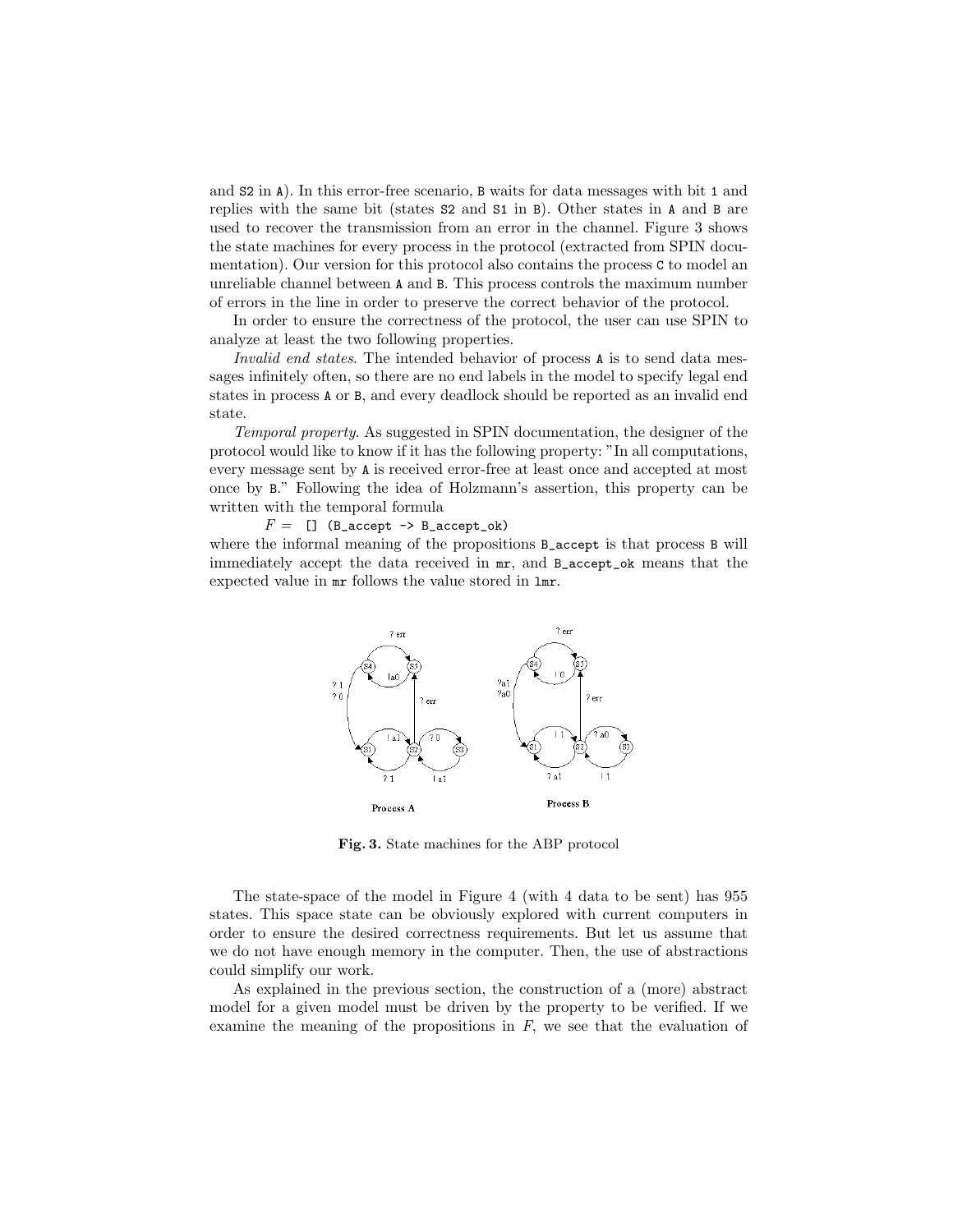and S2 in A). In this error-free scenario, B waits for data messages with bit 1 and replies with the same bit (states S2 and S1 in B). Other states in A and B are used to recover the transmission from an error in the channel. Figure 3 shows the state machines for every process in the protocol (extracted from SPIN documentation). Our version for this protocol also contains the process C to model an unreliable channel between A and B. This process controls the maximum number of errors in the line in order to preserve the correct behavior of the protocol.

In order to ensure the correctness of the protocol, the user can use SPIN to analyze at least the two following properties.

Invalid end states. The intended behavior of process A is to send data messages infinitely often, so there are no end labels in the model to specify legal end states in process A or B, and every deadlock should be reported as an invalid end state.

Temporal property. As suggested in SPIN documentation, the designer of the protocol would like to know if it has the following property: "In all computations, every message sent by A is received error-free at least once and accepted at most once by B." Following the idea of Holzmann's assertion, this property can be written with the temporal formula

 $F =$  [] (B\_accept -> B\_accept\_ok)

where the informal meaning of the propositions  $B$ <sub>-accept</sub> is that process B will</sub> immediately accept the data received in mr, and B\_accept\_ok means that the expected value in mr follows the value stored in lmr.



**Fig. 3.** State machines for the ABP protocol

The state-space of the model in Figure 4 (with 4 data to be sent) has 955 states. This space state can be obviously explored with current computers in order to ensure the desired correctness requirements. But let us assume that we do not have enough memory in the computer. Then, the use of abstractions could simplify our work.

As explained in the previous section, the construction of a (more) abstract model for a given model must be driven by the property to be verified. If we examine the meaning of the propositions in  $F$ , we see that the evaluation of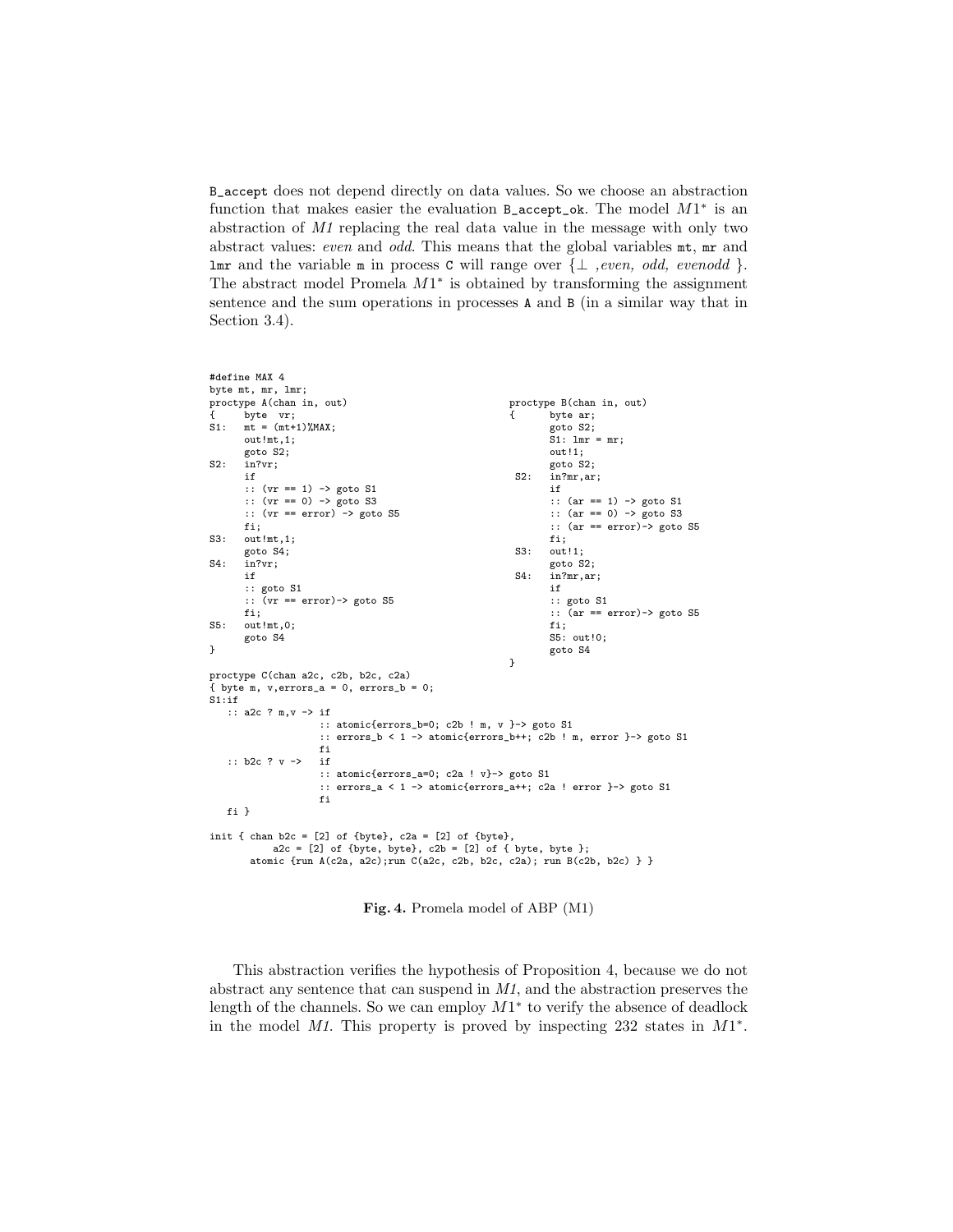B\_accept does not depend directly on data values. So we choose an abstraction function that makes easier the evaluation  $B$ <sub>-accept</sub>\_ok. The model  $M1^*$  is an abstraction of M1 replacing the real data value in the message with only two abstract values: even and odd. This means that the global variables mt, mr and lmr and the variable m in process C will range over  $\{\perp, even, odd, even odd\}$ . The abstract model Promela  $M1^*$  is obtained by transforming the assignment sentence and the sum operations in processes A and B (in a similar way that in Section 3.4).

```
#define MAX 4
byte mt, mr, lmr;<br>proctype A(chan in, out)
                                                 proctype B(chan in, out)
{ byte vr; \begin{array}{ccc} 1 & \text{byte ar}; \\ 2 & \text{mt} = (\text{mt} + 1) \text{Y} \text{MAX}; \\ 3 & \text{to 2} \end{array}mt = (mt+1)%MAX;
     out!mt,1; S1: lmr = mr;goto S2;<br>
in?vr;<br>
goto S2;<br>
goto S2;
S2: in?vr;
     if S2: in?mr,ar;
     :: (vr == 1) -> goto S1 if<br>:: (vr == 0) -> goto S3 ::
                                                        :: (ar == 1) \rightarrow goto S1<br>:: (ar == 0) \rightarrow goto S3:: (vr == error) \rightarrow goto S5<br>fi:
                                                        \therefore (ar == error)-> goto S5
S3: out!nt, 1; fi;
goto S4; S3: out!1;
S4: in?vr; goto S2;
     if S4: in?mr,ar;<br>i: goto S1 if S4: in?mr,ar;
     :: goto S1 if<br>:: (vr == error)-> goto S5 :: goto S1 :: goto S1
     :: (vr == error) -> go to S5fi; :: (ar == error)-> goto S5<br>out!mt,0; fi; fi;
S5: out!mt,0;<br>goto S4
                                                       S5: out!0;
} goto S4
                                                 }
proctype C(chan a2c, c2b, b2c, c2a)
{ byte m, v,errors_a = 0, errors_b = 0;
S1:if:: a2c ? m,v -> if
                  :: atomic{errors_b=0; c2b ! m, v }-> goto S1
                  :: errors_b < 1 -> atomic{errors_b++; c2b ! m, error }-> goto S1
                 fi
  :: b2c ? v \rightarrow:: atomic{errors_a=0; c2a ! v}-> goto S1
                 :: errors_a < 1 -> atomic{errors_a++; c2a ! error }-> goto S1
                  fi
  fi }
init { chan b2c = [2] of {byte}, c2a = [2] of {byte},
         a2c = [2] of {byte, byte}, c2b = [2] of { byte, byte };
      atomic \{\text{run } A(c2a, a2c); \text{run } C(a2c, c2b, b2c, c2a); \text{run } B(c2b, b2c) \}
```
**Fig. 4.** Promela model of ABP (M1)

This abstraction verifies the hypothesis of Proposition 4, because we do not abstract any sentence that can suspend in M1, and the abstraction preserves the length of the channels. So we can employ  $M1^*$  to verify the absence of deadlock in the model M1. This property is proved by inspecting 232 states in  $M1^*$ .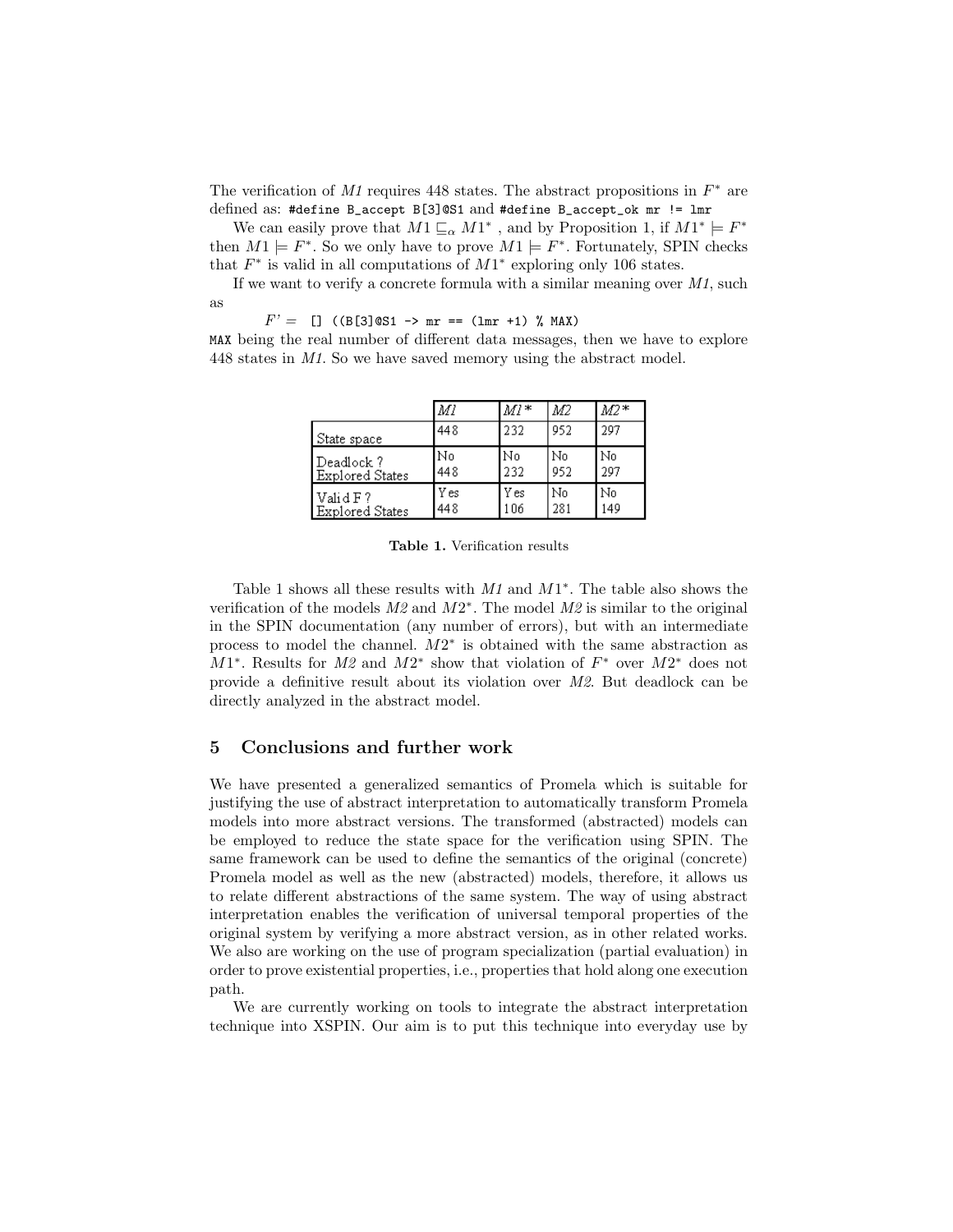The verification of M1 requires 448 states. The abstract propositions in  $F^*$  are defined as: #define B\_accept B[3]@S1 and #define B\_accept\_ok mr != lmr

We can easily prove that  $M1 \sqsubseteq_{\alpha} M1^*$ , and by Proposition 1, if  $M1^* \models F^*$ then  $M1 \models F^*$ . So we only have to prove  $M1 \models F^*$ . Fortunately, SPIN checks that  $F^*$  is valid in all computations of  $M1^*$  exploring only 106 states.

If we want to verify a concrete formula with a similar meaning over  $M1$ , such as

 $F' = [] ((B[3]@S1 \rightarrow mr == (lmr +1) % MAX)$ 

MAX being the real number of different data messages, then we have to explore 448 states in M1. So we have saved memory using the abstract model.

|                 | Мl   | $MI^*$ | M2  | M2* |
|-----------------|------|--------|-----|-----|
| State space     | 448  | 232    | 952 | 297 |
| l Deadlock ?    | N٥   | No     | No  | No  |
| Explored States | 448  | 232    | 952 | 297 |
| Valid F?        | Y es | Y es   | No  | No  |
| Explored States | 448  | 106    | 281 | 149 |

**Table 1.** Verification results

Table 1 shows all these results with  $M1$  and  $M1^*$ . The table also shows the verification of the models M2 and M2∗. The model M2 is similar to the original in the SPIN documentation (any number of errors), but with an intermediate process to model the channel. M2<sup>∗</sup> is obtained with the same abstraction as  $M1^*$ . Results for  $M2$  and  $M2^*$  show that violation of  $F^*$  over  $M2^*$  does not provide a definitive result about its violation over M2. But deadlock can be directly analyzed in the abstract model.

## **5 Conclusions and further work**

We have presented a generalized semantics of Promela which is suitable for justifying the use of abstract interpretation to automatically transform Promela models into more abstract versions. The transformed (abstracted) models can be employed to reduce the state space for the verification using SPIN. The same framework can be used to define the semantics of the original (concrete) Promela model as well as the new (abstracted) models, therefore, it allows us to relate different abstractions of the same system. The way of using abstract interpretation enables the verification of universal temporal properties of the original system by verifying a more abstract version, as in other related works. We also are working on the use of program specialization (partial evaluation) in order to prove existential properties, i.e., properties that hold along one execution path.

We are currently working on tools to integrate the abstract interpretation technique into XSPIN. Our aim is to put this technique into everyday use by